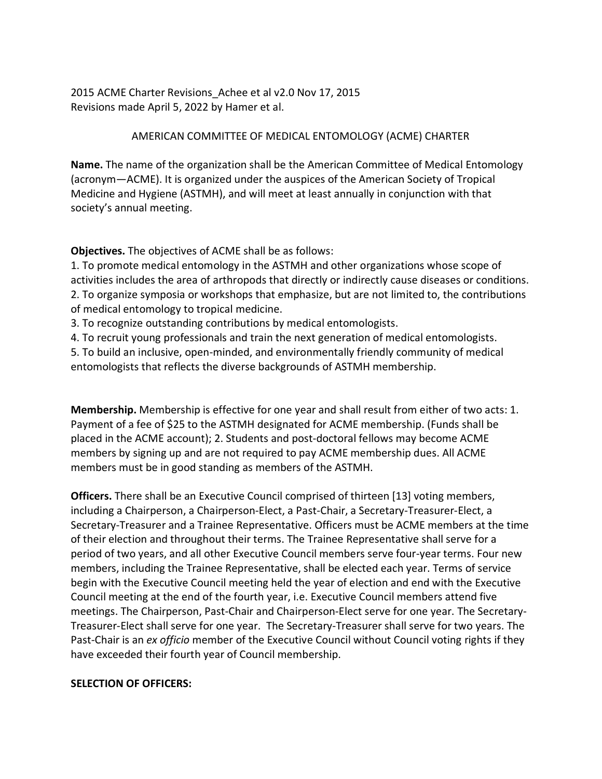2015 ACME Charter Revisions\_Achee et al v2.0 Nov 17, 2015 Revisions made April 5, 2022 by Hamer et al.

## AMERICAN COMMITTEE OF MEDICAL ENTOMOLOGY (ACME) CHARTER

**Name.** The name of the organization shall be the American Committee of Medical Entomology (acronym—ACME). It is organized under the auspices of the American Society of Tropical Medicine and Hygiene (ASTMH), and will meet at least annually in conjunction with that society's annual meeting.

**Objectives.** The objectives of ACME shall be as follows:

1. To promote medical entomology in the ASTMH and other organizations whose scope of activities includes the area of arthropods that directly or indirectly cause diseases or conditions. 2. To organize symposia or workshops that emphasize, but are not limited to, the contributions of medical entomology to tropical medicine.

3. To recognize outstanding contributions by medical entomologists.

4. To recruit young professionals and train the next generation of medical entomologists.

5. To build an inclusive, open-minded, and environmentally friendly community of medical entomologists that reflects the diverse backgrounds of ASTMH membership.

**Membership.** Membership is effective for one year and shall result from either of two acts: 1. Payment of a fee of \$25 to the ASTMH designated for ACME membership. (Funds shall be placed in the ACME account); 2. Students and post-doctoral fellows may become ACME members by signing up and are not required to pay ACME membership dues. All ACME members must be in good standing as members of the ASTMH.

**Officers.** There shall be an Executive Council comprised of thirteen [13] voting members, including a Chairperson, a Chairperson-Elect, a Past-Chair, a Secretary-Treasurer-Elect, a Secretary-Treasurer and a Trainee Representative. Officers must be ACME members at the time of their election and throughout their terms. The Trainee Representative shall serve for a period of two years, and all other Executive Council members serve four-year terms. Four new members, including the Trainee Representative, shall be elected each year. Terms of service begin with the Executive Council meeting held the year of election and end with the Executive Council meeting at the end of the fourth year, i.e. Executive Council members attend five meetings. The Chairperson, Past-Chair and Chairperson-Elect serve for one year. The Secretary-Treasurer-Elect shall serve for one year. The Secretary-Treasurer shall serve for two years. The Past-Chair is an *ex officio* member of the Executive Council without Council voting rights if they have exceeded their fourth year of Council membership.

## **SELECTION OF OFFICERS:**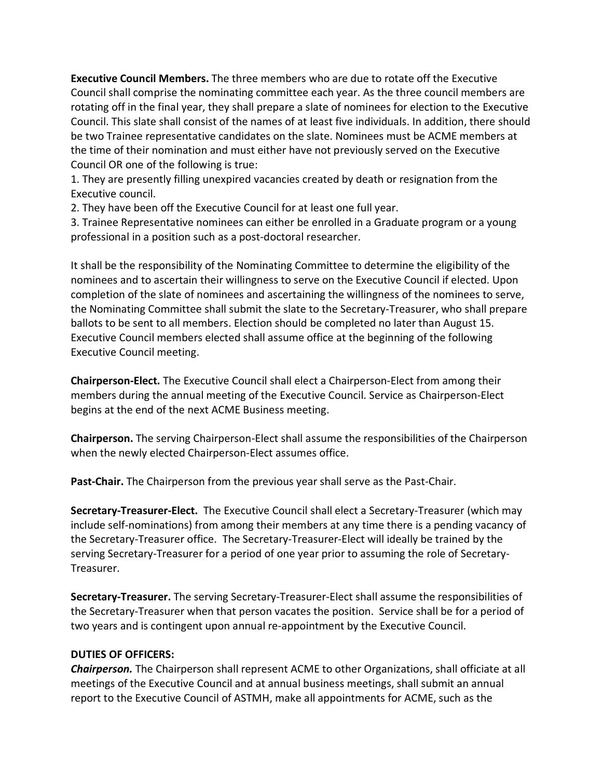**Executive Council Members.** The three members who are due to rotate off the Executive Council shall comprise the nominating committee each year. As the three council members are rotating off in the final year, they shall prepare a slate of nominees for election to the Executive Council. This slate shall consist of the names of at least five individuals. In addition, there should be two Trainee representative candidates on the slate. Nominees must be ACME members at the time of their nomination and must either have not previously served on the Executive Council OR one of the following is true:

1. They are presently filling unexpired vacancies created by death or resignation from the Executive council.

2. They have been off the Executive Council for at least one full year.

3. Trainee Representative nominees can either be enrolled in a Graduate program or a young professional in a position such as a post-doctoral researcher.

It shall be the responsibility of the Nominating Committee to determine the eligibility of the nominees and to ascertain their willingness to serve on the Executive Council if elected. Upon completion of the slate of nominees and ascertaining the willingness of the nominees to serve, the Nominating Committee shall submit the slate to the Secretary-Treasurer, who shall prepare ballots to be sent to all members. Election should be completed no later than August 15. Executive Council members elected shall assume office at the beginning of the following Executive Council meeting.

**Chairperson-Elect.** The Executive Council shall elect a Chairperson-Elect from among their members during the annual meeting of the Executive Council. Service as Chairperson-Elect begins at the end of the next ACME Business meeting.

**Chairperson.** The serving Chairperson-Elect shall assume the responsibilities of the Chairperson when the newly elected Chairperson-Elect assumes office.

**Past-Chair.** The Chairperson from the previous year shall serve as the Past-Chair.

**Secretary-Treasurer-Elect.** The Executive Council shall elect a Secretary-Treasurer (which may include self-nominations) from among their members at any time there is a pending vacancy of the Secretary-Treasurer office. The Secretary-Treasurer-Elect will ideally be trained by the serving Secretary-Treasurer for a period of one year prior to assuming the role of Secretary-Treasurer.

**Secretary-Treasurer.** The serving Secretary-Treasurer-Elect shall assume the responsibilities of the Secretary-Treasurer when that person vacates the position. Service shall be for a period of two years and is contingent upon annual re-appointment by the Executive Council.

## **DUTIES OF OFFICERS:**

*Chairperson.* The Chairperson shall represent ACME to other Organizations, shall officiate at all meetings of the Executive Council and at annual business meetings, shall submit an annual report to the Executive Council of ASTMH, make all appointments for ACME, such as the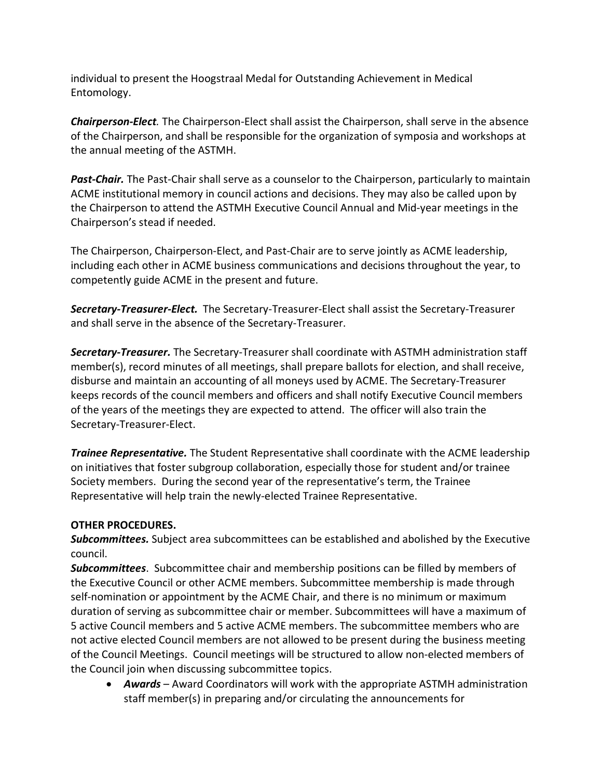individual to present the Hoogstraal Medal for Outstanding Achievement in Medical Entomology.

*Chairperson-Elect.* The Chairperson-Elect shall assist the Chairperson, shall serve in the absence of the Chairperson, and shall be responsible for the organization of symposia and workshops at the annual meeting of the ASTMH.

*Past-Chair.* The Past-Chair shall serve as a counselor to the Chairperson, particularly to maintain ACME institutional memory in council actions and decisions. They may also be called upon by the Chairperson to attend the ASTMH Executive Council Annual and Mid-year meetings in the Chairperson's stead if needed.

The Chairperson, Chairperson-Elect, and Past-Chair are to serve jointly as ACME leadership, including each other in ACME business communications and decisions throughout the year, to competently guide ACME in the present and future.

*Secretary-Treasurer-Elect.* The Secretary-Treasurer-Elect shall assist the Secretary-Treasurer and shall serve in the absence of the Secretary-Treasurer.

*Secretary-Treasurer.* The Secretary-Treasurer shall coordinate with ASTMH administration staff member(s), record minutes of all meetings, shall prepare ballots for election, and shall receive, disburse and maintain an accounting of all moneys used by ACME. The Secretary-Treasurer keeps records of the council members and officers and shall notify Executive Council members of the years of the meetings they are expected to attend. The officer will also train the Secretary-Treasurer-Elect.

*Trainee Representative.* The Student Representative shall coordinate with the ACME leadership on initiatives that foster subgroup collaboration, especially those for student and/or trainee Society members. During the second year of the representative's term, the Trainee Representative will help train the newly-elected Trainee Representative.

## **OTHER PROCEDURES.**

*Subcommittees.* Subject area subcommittees can be established and abolished by the Executive council.

*Subcommittees*. Subcommittee chair and membership positions can be filled by members of the Executive Council or other ACME members. Subcommittee membership is made through self-nomination or appointment by the ACME Chair, and there is no minimum or maximum duration of serving as subcommittee chair or member. Subcommittees will have a maximum of 5 active Council members and 5 active ACME members. The subcommittee members who are not active elected Council members are not allowed to be present during the business meeting of the Council Meetings. Council meetings will be structured to allow non-elected members of the Council join when discussing subcommittee topics.

• *Awards* – Award Coordinators will work with the appropriate ASTMH administration staff member(s) in preparing and/or circulating the announcements for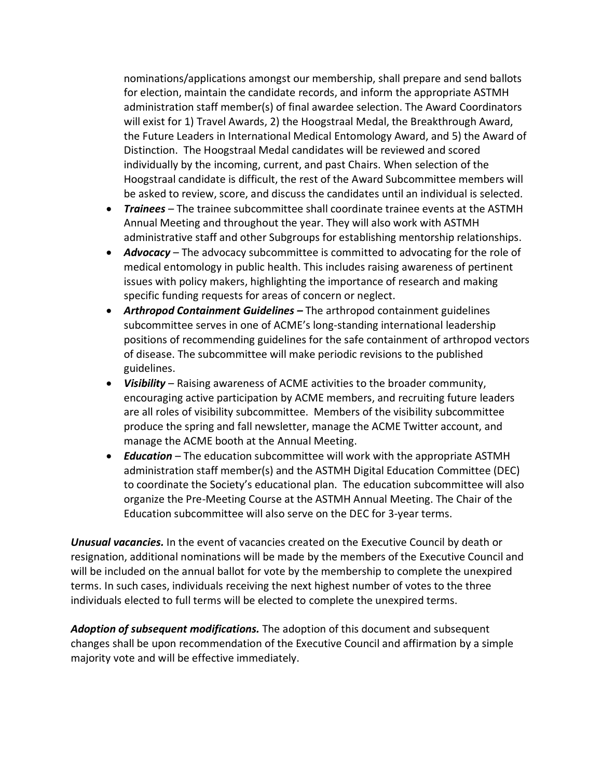nominations/applications amongst our membership, shall prepare and send ballots for election, maintain the candidate records, and inform the appropriate ASTMH administration staff member(s) of final awardee selection. The Award Coordinators will exist for 1) Travel Awards, 2) the Hoogstraal Medal, the Breakthrough Award, the Future Leaders in International Medical Entomology Award, and 5) the Award of Distinction. The Hoogstraal Medal candidates will be reviewed and scored individually by the incoming, current, and past Chairs. When selection of the Hoogstraal candidate is difficult, the rest of the Award Subcommittee members will be asked to review, score, and discuss the candidates until an individual is selected.

- *Trainees* The trainee subcommittee shall coordinate trainee events at the ASTMH Annual Meeting and throughout the year. They will also work with ASTMH administrative staff and other Subgroups for establishing mentorship relationships.
- *Advocacy* The advocacy subcommittee is committed to advocating for the role of medical entomology in public health. This includes raising awareness of pertinent issues with policy makers, highlighting the importance of research and making specific funding requests for areas of concern or neglect.
- *Arthropod Containment Guidelines –* The arthropod containment guidelines subcommittee serves in one of ACME's long-standing international leadership positions of recommending guidelines for the safe containment of arthropod vectors of disease. The subcommittee will make periodic revisions to the published guidelines.
- *Visibility* Raising awareness of ACME activities to the broader community, encouraging active participation by ACME members, and recruiting future leaders are all roles of visibility subcommittee. Members of the visibility subcommittee produce the spring and fall newsletter, manage the ACME Twitter account, and manage the ACME booth at the Annual Meeting.
- *Education* The education subcommittee will work with the appropriate ASTMH administration staff member(s) and the ASTMH Digital Education Committee (DEC) to coordinate the Society's educational plan. The education subcommittee will also organize the Pre-Meeting Course at the ASTMH Annual Meeting. The Chair of the Education subcommittee will also serve on the DEC for 3-year terms.

*Unusual vacancies.* In the event of vacancies created on the Executive Council by death or resignation, additional nominations will be made by the members of the Executive Council and will be included on the annual ballot for vote by the membership to complete the unexpired terms. In such cases, individuals receiving the next highest number of votes to the three individuals elected to full terms will be elected to complete the unexpired terms.

*Adoption of subsequent modifications.* The adoption of this document and subsequent changes shall be upon recommendation of the Executive Council and affirmation by a simple majority vote and will be effective immediately.